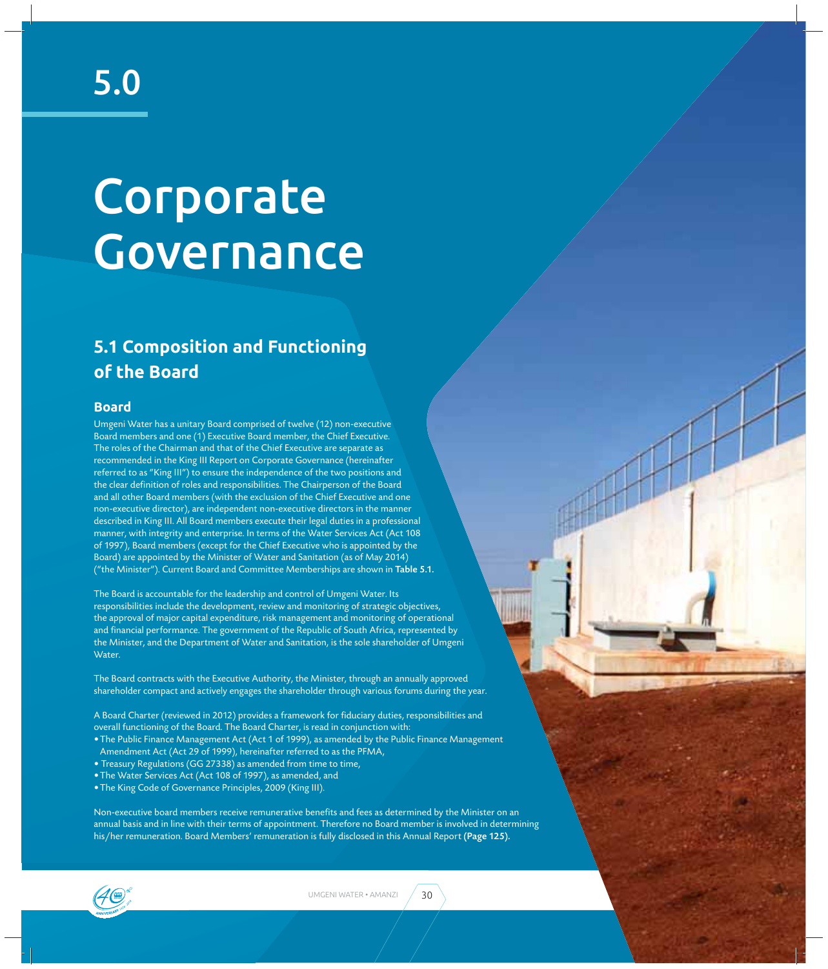# Corporate **Governance**

## **5.1 Composition and Functioning of the Board**

## **Board**

Umgeni Water has a unitary Board comprised of twelve (12) non-executive Board members and one (1) Executive Board member, the Chief Executive. The roles of the Chairman and that of the Chief Executive are separate as recommended in the King III Report on Corporate Governance (hereinafter referred to as "King III") to ensure the independence of the two positions and the clear definition of roles and responsibilities. The Chairperson of the Board and all other Board members (with the exclusion of the Chief Executive and one non-executive director), are independent non-executive directors in the manner described in King III. All Board members execute their legal duties in a professional manner, with integrity and enterprise. In terms of the Water Services Act (Act 108 of 1997), Board members (except for the Chief Executive who is appointed by the Board) are appointed by the Minister of Water and Sanitation (as of May 2014) ("the Minister"). Current Board and Committee Memberships are shown in Table 5.1.

The Board is accountable for the leadership and control of Umgeni Water. Its responsibilities include the development, review and monitoring of strategic objectives, the approval of major capital expenditure, risk management and monitoring of operational and financial performance. The government of the Republic of South Africa, represented by the Minister, and the Department of Water and Sanitation, is the sole shareholder of Umgeni Water.

The Board contracts with the Executive Authority, the Minister, through an annually approved shareholder compact and actively engages the shareholder through various forums during the year.

A Board Charter (reviewed in 2012) provides a framework for fiduciary duties, responsibilities and overall functioning of the Board. The Board Charter, is read in conjunction with:

• The Public Finance Management Act (Act 1 of 1999), as amended by the Public Finance Management Amendment Act (Act 29 of 1999), hereinafter referred to as the PFMA,

- Treasury Regulations (GG 27338) as amended from time to time,
- The Water Services Act (Act 108 of 1997), as amended, and
- The King Code of Governance Principles, 2009 (King III).

Non-executive board members receive remunerative benefits and fees as determined by the Minister on an annual basis and in line with their terms of appointment. Therefore no Board member is involved in determining his/her remuneration. Board Members' remuneration is fully disclosed in this Annual Report (Page 125).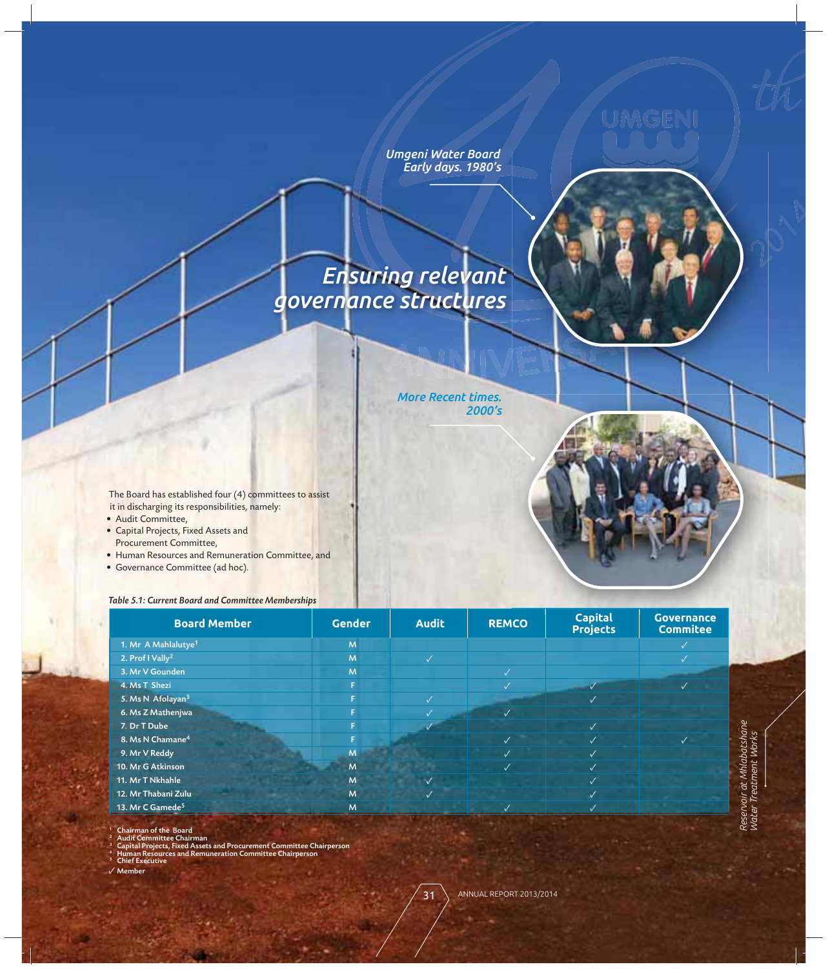*Early days. 1980's*

UMGEI

## *Ensuring relevant governance structures*

- Audit Committee,
- Capital Projects, Fixed Assets and Procurement Committee,
- Human Resources and Remuneration Committee, and
- Governance Committee (ad hoc).

### *Table 5.1: Current Board and Committee Memberships*

|                                                                                                                                                                                                                                                                                          |                       | Early days. 1980's<br><b>Ensuring relevant</b> | <b>Umgeni Water Board</b> |                 |                              |
|------------------------------------------------------------------------------------------------------------------------------------------------------------------------------------------------------------------------------------------------------------------------------------------|-----------------------|------------------------------------------------|---------------------------|-----------------|------------------------------|
| he Board has established four (4) committees to assist<br>t in discharging its responsibilities, namely:<br>Audit Committee,<br>Capital Projects, Fixed Assets and<br><b>Procurement Committee,</b><br>Human Resources and Remuneration Committee, and<br>Governance Committee (ad hoc). | governance structures | <b>More Recent times.</b>                      | 2000's                    |                 |                              |
|                                                                                                                                                                                                                                                                                          |                       |                                                |                           |                 |                              |
| <b>Board Member</b>                                                                                                                                                                                                                                                                      | Gender                | <b>Audit</b>                                   | <b>REMCO</b>              | <b>Capital</b>  | <b>Governance</b>            |
|                                                                                                                                                                                                                                                                                          |                       |                                                |                           | <b>Projects</b> | <b>Commitee</b>              |
| 1. Mr A Mahlalutye <sup>1</sup><br>2. Prof I Vally <sup>2</sup>                                                                                                                                                                                                                          | ${\sf M}$<br>M        |                                                |                           |                 | $\checkmark$<br>$\checkmark$ |
| 3. Mr V Gounden                                                                                                                                                                                                                                                                          | M                     | $\checkmark$                                   | $\sqrt{2}$                |                 |                              |
| 4. Ms T Shezi                                                                                                                                                                                                                                                                            | F                     |                                                | $\checkmark$              | $\checkmark$    | $\checkmark$                 |
| 5. Ms N Afolayan <sup>3</sup>                                                                                                                                                                                                                                                            | F.                    | $\checkmark$                                   |                           | $\checkmark$    |                              |
| 6. Ms Z Mathenjwa                                                                                                                                                                                                                                                                        | F                     | $\checkmark$                                   | $\checkmark$              |                 |                              |
| 7. Dr T Dube                                                                                                                                                                                                                                                                             | F                     |                                                |                           | $\checkmark$    |                              |
| 8. Ms N Chamane <sup>4</sup>                                                                                                                                                                                                                                                             | F                     |                                                | $\checkmark$              | $\checkmark$    | $\checkmark$                 |
| 9. Mr V Reddy                                                                                                                                                                                                                                                                            | M                     |                                                | $\checkmark$              | $\checkmark$    |                              |
| 10. Mr G Atkinson                                                                                                                                                                                                                                                                        | M                     |                                                | $\checkmark$              | $\checkmark$    |                              |
| 11. Mr T Nkhahle                                                                                                                                                                                                                                                                         | M                     | $\checkmark$                                   |                           | $\checkmark$    |                              |
| 12. Mr Thabani Zulu                                                                                                                                                                                                                                                                      | M                     | $\checkmark$                                   |                           | $\checkmark$    |                              |
| able 5.1: Current Board and Committee Memberships<br>13. Mr C Gamede <sup>5</sup>                                                                                                                                                                                                        | M                     |                                                | $\checkmark$              | $\checkmark$    |                              |

5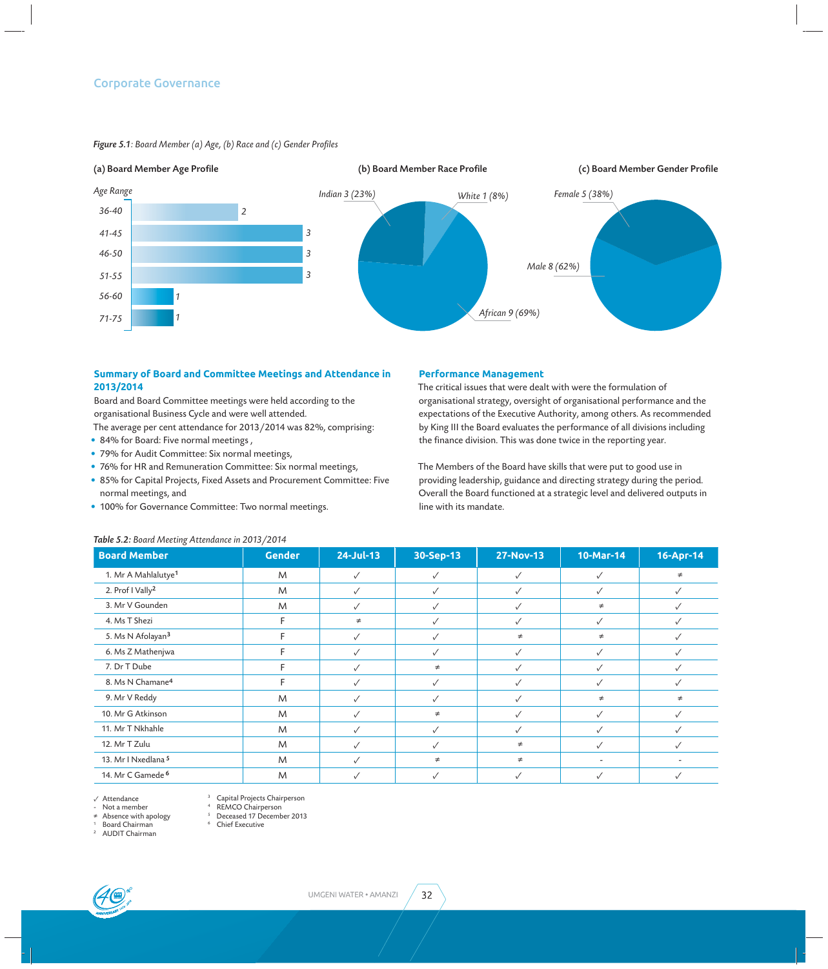### *Figure 5.1: Board Member (a) Age, (b) Race and (c) Gender Profiles*

#### (a) Board Member Age Profile **1988** (b) Board Member Race Profile **1988** (c) Board Member Gender Profile



### **Summary of Board and Committee Meetings and Attendance in 2013/2014**

Board and Board Committee meetings were held according to the organisational Business Cycle and were well attended.

The average per cent attendance for 2013/2014 was 82%, comprising:

- 84% for Board: Five normal meetings ,
- 79% for Audit Committee: Six normal meetings,
- 76% for HR and Remuneration Committee: Six normal meetings,
- 85% for Capital Projects, Fixed Assets and Procurement Committee: Five normal meetings, and
- 100% for Governance Committee: Two normal meetings.

#### **Performance Management**

The critical issues that were dealt with were the formulation of organisational strategy, oversight of organisational performance and the expectations of the Executive Authority, among others. As recommended by King III the Board evaluates the performance of all divisions including the finance division. This was done twice in the reporting year.

*Male 8 (62%)*

*Female 5 (38%)*

The Members of the Board have skills that were put to good use in providing leadership, guidance and directing strategy during the period. Overall the Board functioned at a strategic level and delivered outputs in line with its mandate.

| <b>Board Member</b>             | <b>Gender</b> | 24-Jul-13    | 30-Sep-13    | <b>27-Nov-13</b> | 10-Mar-14                | 16-Apr-14    |
|---------------------------------|---------------|--------------|--------------|------------------|--------------------------|--------------|
| 1. Mr A Mahlalutye <sup>1</sup> | M             | √            | $\checkmark$ | $\checkmark$     | $\checkmark$             | $\neq$       |
| 2. Prof I Vally <sup>2</sup>    | M             | $\checkmark$ | $\checkmark$ | ✓                | $\checkmark$             | ✓            |
| 3. Mr V Gounden                 | M             | ✓            | $\checkmark$ | $\checkmark$     | $\neq$                   |              |
| 4. Ms T Shezi                   | F             | $\neq$       | $\checkmark$ | ✓                | $\checkmark$             | $\sqrt{}$    |
| 5. Ms N Afolayan <sup>3</sup>   | F             | √            | $\checkmark$ | $\neq$           | $\neq$                   | $\sqrt{ }$   |
| 6. Ms Z Mathenjwa               | Е             | √            | $\checkmark$ | ✓                | $\checkmark$             | $\checkmark$ |
| 7. Dr T Dube                    | F             | ✓            | $\neq$       | ✓                | $\checkmark$             | $\sqrt{ }$   |
| 8. Ms N Chamane <sup>4</sup>    | F             | √            | $\checkmark$ | $\checkmark$     | ✓                        | $\checkmark$ |
| 9. Mr V Reddy                   | M             | $\checkmark$ | $\checkmark$ | ✓                | $\neq$                   | $\neq$       |
| 10. Mr G Atkinson               | M             | ✓            | $\neq$       | ✓                | $\checkmark$             | $\checkmark$ |
| 11. Mr T Nkhahle                | M             | √            | $\checkmark$ | ✓                | $\checkmark$             | $\checkmark$ |
| 12. Mr T Zulu                   | M             | ✓            | $\checkmark$ | $\neq$           | $\checkmark$             | $\checkmark$ |
| 13. Mr I Nxedlana <sup>5</sup>  | M             | √            | $\neq$       | $\neq$           | $\overline{\phantom{a}}$ |              |
| 14. Mr C Gamede <sup>6</sup>    | M             | ✓            | $\checkmark$ | ✓                | $\checkmark$             | $\checkmark$ |

#### *Table 5.2: Board Meeting Attendance in 2013/2014*

**✓** Attendance Not a member

Capital Projects Chairperson 4 REMCO Chairperson

5 Deceased 17 December 2013

Absence with apology 1 Board Chairman

AUDIT Chairman



6 Chief Executive

UMGENI WATER • AMANZI / 32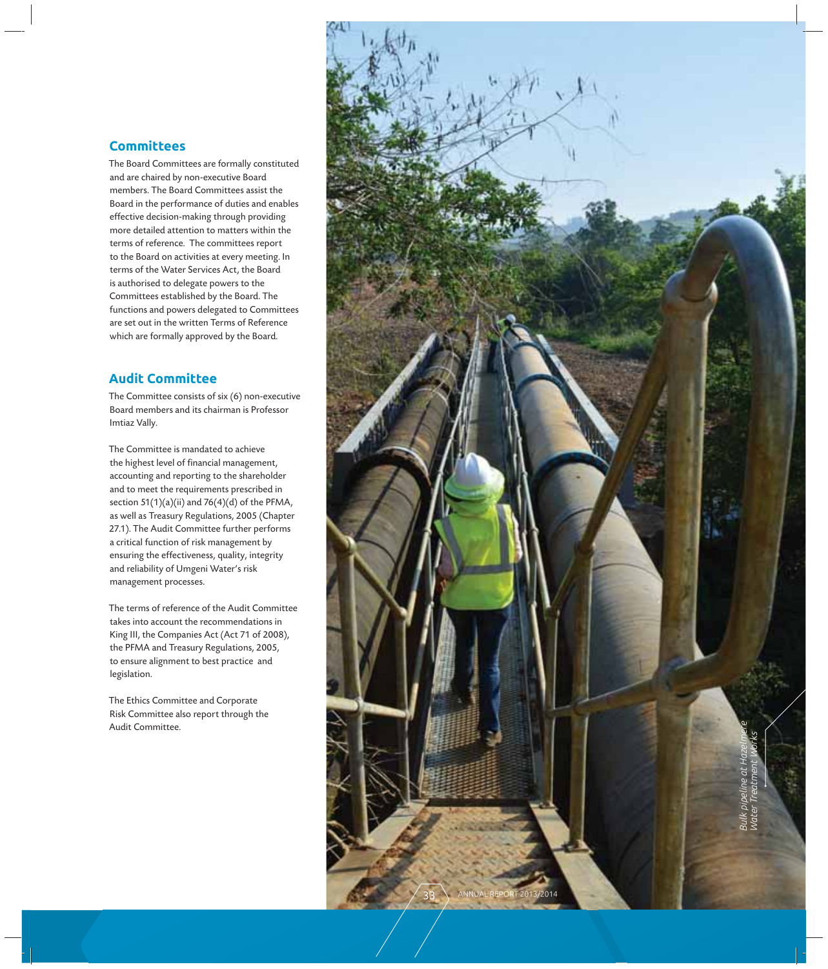## **Committees**

The Board Committees are formally constituted and are chaired by non-executive Board members. The Board Committees assist the Board in the performance of duties and enables effective decision-making through providing more detailed attention to matters within the terms of reference. The committees report to the Board on activities at every meeting. In terms of the Water Services Act, the Board is authorised to delegate powers to the Committees established by the Board. The functions and powers delegated to Committees are set out in the written Terms of Reference which are formally approved by the Board.

## **Audit Committee**

The Committee consists of six (6) non-executive Board members and its chairman is Professor Imtiaz Vally.

The Committee is mandated to achieve the highest level of financial management, accounting and reporting to the shareholder and to meet the requirements prescribed in section  $51(1)(a)(ii)$  and  $76(4)(d)$  of the PFMA, as well as Treasury Regulations, 2005 (Chapter 27.1). The Audit Committee further performs a critical function of risk management by ensuring the effectiveness, quality, integrity and reliability of Umgeni Water's risk management processes.

The terms of reference of the Audit Committee takes into account the recommendations in King III, the Companies Act (Act 71 of 2008), the PFMA and Treasury Regulations, 2005, to ensure alignment to best practice and legislation.

The Ethics Committee and Corporate Risk Committee also report through the Audit Committee.

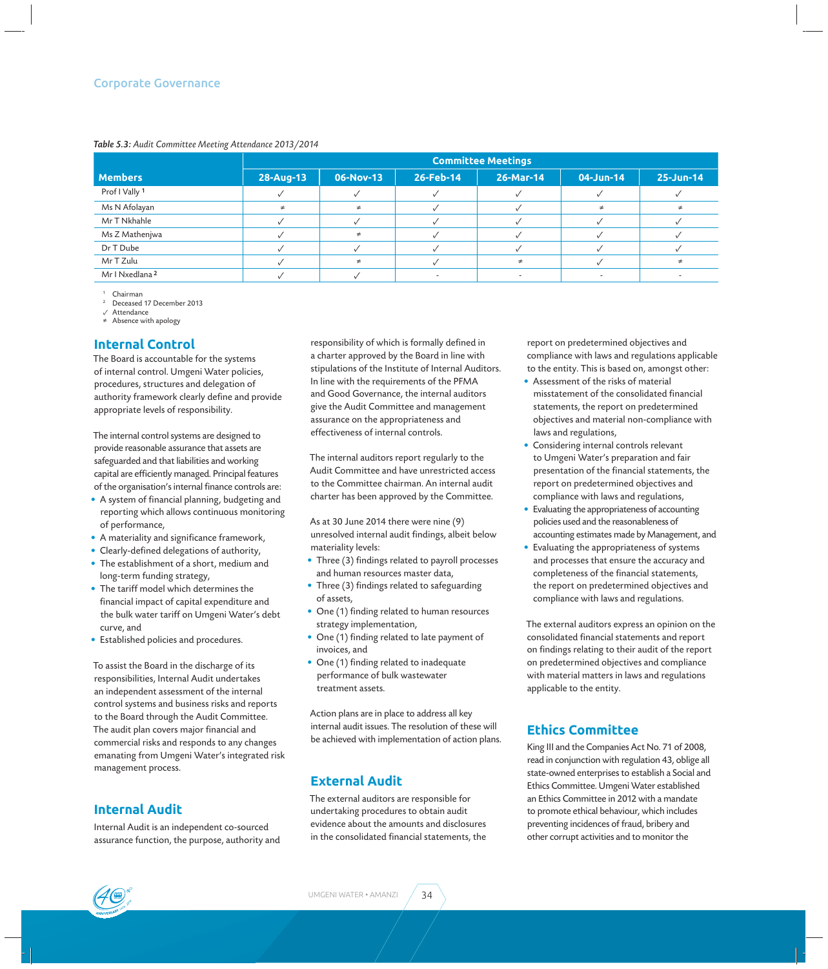#### *Table 5.3: Audit Committee Meeting Attendance 2013/2014*

|                            | <b>Committee Meetings</b> |           |           |           |           |           |
|----------------------------|---------------------------|-----------|-----------|-----------|-----------|-----------|
| <b>Members</b>             | 28-Aug-13                 | 06-Nov-13 | 26-Feb-14 | 26-Mar-14 | 04-Jun-14 | 25-Jun-14 |
| Prof I Vally 1             |                           |           |           |           |           |           |
| Ms N Afolayan              | ±                         |           |           |           |           |           |
| Mr T Nkhahle               |                           |           |           |           |           |           |
| Ms Z Mathenjwa             |                           |           |           |           |           |           |
| Dr T Dube                  |                           |           |           |           |           |           |
| Mr T Zulu                  |                           |           |           |           |           |           |
| Mr I Nxedlana <sup>2</sup> |                           |           |           |           |           |           |

1 Chairman

 $\overline{2}$ Deceased 17 December 2013

**✓** Attendance

≠ Absence with apology

## **Internal Control**

The Board is accountable for the systems of internal control. Umgeni Water policies, procedures, structures and delegation of authority framework clearly define and provide appropriate levels of responsibility.

The internal control systems are designed to provide reasonable assurance that assets are safeguarded and that liabilities and working capital are efficiently managed. Principal features of the organisation's internal finance controls are:

- A system of financial planning, budgeting and reporting which allows continuous monitoring of performance,
- A materiality and significance framework,
- Clearly-defined delegations of authority,
- The establishment of a short, medium and long-term funding strategy,
- The tariff model which determines the financial impact of capital expenditure and the bulk water tariff on Umgeni Water's debt curve, and
- Established policies and procedures.

To assist the Board in the discharge of its responsibilities, Internal Audit undertakes an independent assessment of the internal control systems and business risks and reports to the Board through the Audit Committee. The audit plan covers major financial and commercial risks and responds to any changes emanating from Umgeni Water's integrated risk management process.

## **Internal Audit**

Internal Audit is an independent co-sourced assurance function, the purpose, authority and responsibility of which is formally defined in a charter approved by the Board in line with stipulations of the Institute of Internal Auditors. In line with the requirements of the PFMA and Good Governance, the internal auditors give the Audit Committee and management assurance on the appropriateness and effectiveness of internal controls.

The internal auditors report regularly to the Audit Committee and have unrestricted access to the Committee chairman. An internal audit charter has been approved by the Committee.

As at 30 June 2014 there were nine (9) unresolved internal audit findings, albeit below materiality levels:

- Three (3) findings related to payroll processes and human resources master data,
- Three (3) findings related to safeguarding of assets,
- One (1) finding related to human resources strategy implementation,
- One (1) finding related to late payment of invoices, and
- One (1) finding related to inadequate performance of bulk wastewater treatment assets.

Action plans are in place to address all key internal audit issues. The resolution of these will be achieved with implementation of action plans.

## **External Audit**

The external auditors are responsible for undertaking procedures to obtain audit evidence about the amounts and disclosures in the consolidated financial statements, the report on predetermined objectives and compliance with laws and regulations applicable to the entity. This is based on, amongst other:

- Assessment of the risks of material misstatement of the consolidated financial statements, the report on predetermined objectives and material non-compliance with laws and regulations,
- Considering internal controls relevant to Umgeni Water's preparation and fair presentation of the financial statements, the report on predetermined objectives and compliance with laws and regulations,
- Evaluating the appropriateness of accounting policies used and the reasonableness of accounting estimates made by Management, and
- Evaluating the appropriateness of systems and processes that ensure the accuracy and completeness of the financial statements, the report on predetermined objectives and compliance with laws and regulations.

The external auditors express an opinion on the consolidated financial statements and report on findings relating to their audit of the report on predetermined objectives and compliance with material matters in laws and regulations applicable to the entity.

## **Ethics Committee**

King III and the Companies Act No. 71 of 2008, read in conjunction with regulation 43, oblige all state-owned enterprises to establish a Social and Ethics Committee. Umgeni Water established an Ethics Committee in 2012 with a mandate to promote ethical behaviour, which includes preventing incidences of fraud, bribery and other corrupt activities and to monitor the

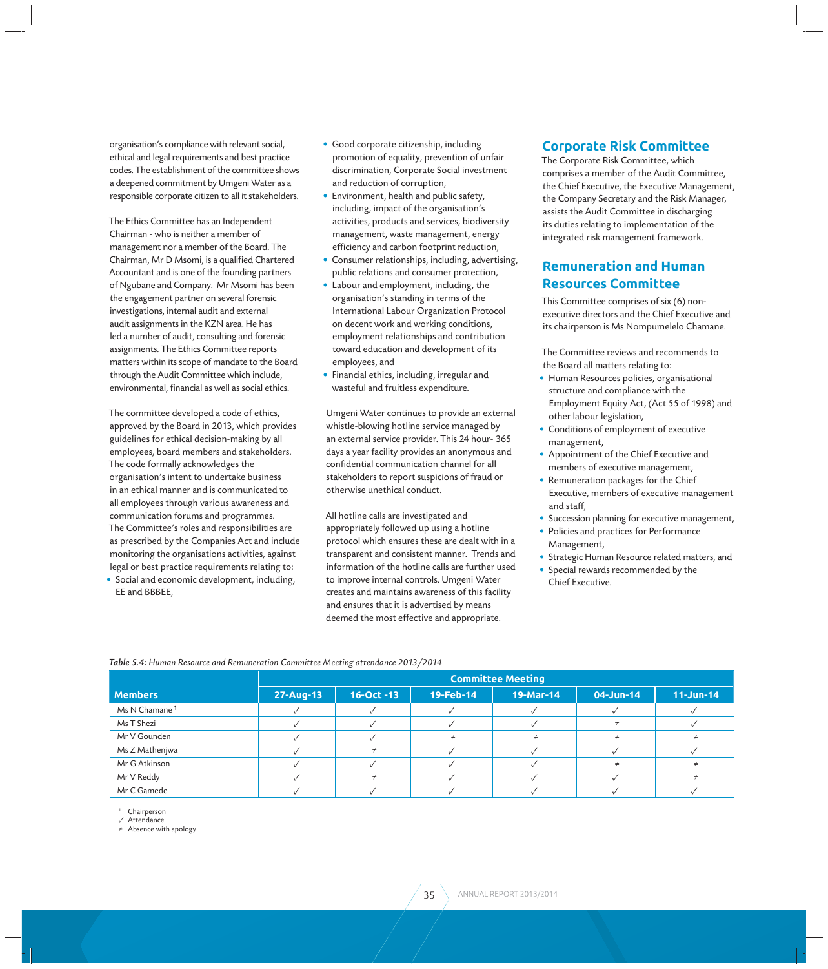organisation's compliance with relevant social, ethical and legal requirements and best practice codes. The establishment of the committee shows a deepened commitment by Umgeni Water as a responsible corporate citizen to all it stakeholders.

The Ethics Committee has an Independent Chairman - who is neither a member of management nor a member of the Board. The Chairman, Mr D Msomi, is a qualified Chartered Accountant and is one of the founding partners of Ngubane and Company. Mr Msomi has been the engagement partner on several forensic **✓**investigations, internal audit and external audit assignments in the KZN area. He has led a number of audit, consulting and forensic assignments. The Ethics Committee reports matters within its scope of mandate to the Board through the Audit Committee which include, environmental, financial as well as social ethics.

The committee developed a code of ethics, approved by the Board in 2013, which provides guidelines for ethical decision-making by all employees, board members and stakeholders. The code formally acknowledges the organisation's intent to undertake business in an ethical manner and is communicated to all employees through various awareness and communication forums and programmes. The Committee's roles and responsibilities are as prescribed by the Companies Act and include monitoring the organisations activities, against legal or best practice requirements relating to:

• Social and economic development, including, EE and BBBEE,

- Good corporate citizenship, including promotion of equality, prevention of unfair discrimination, Corporate Social investment and reduction of corruption,
- Environment, health and public safety, including, impact of the organisation's activities, products and services, biodiversity management, waste management, energy efficiency and carbon footprint reduction,
- Consumer relationships, including, advertising, public relations and consumer protection,
- Labour and employment, including, the organisation's standing in terms of the International Labour Organization Protocol on decent work and working conditions, employment relationships and contribution toward education and development of its employees, and
- Financial ethics, including, irregular and wasteful and fruitless expenditure.

Umgeni Water continues to provide an external whistle-blowing hotline service managed by an external service provider. This 24 hour- 365 days a year facility provides an anonymous and confidential communication channel for all stakeholders to report suspicions of fraud or otherwise unethical conduct.

All hotline calls are investigated and appropriately followed up using a hotline protocol which ensures these are dealt with in a transparent and consistent manner. Trends and information of the hotline calls are further used to improve internal controls. Umgeni Water creates and maintains awareness of this facility and ensures that it is advertised by means deemed the most effective and appropriate.

## **Corporate Risk Committee**

The Corporate Risk Committee, which comprises a member of the Audit Committee, the Chief Executive, the Executive Management, the Company Secretary and the Risk Manager, assists the Audit Committee in discharging its duties relating to implementation of the integrated risk management framework.

## **Remuneration and Human Resources Committee**

This Committee comprises of six (6) nonexecutive directors and the Chief Executive and its chairperson is Ms Nompumelelo Chamane.

The Committee reviews and recommends to the Board all matters relating to:

- Human Resources policies, organisational structure and compliance with the Employment Equity Act, (Act 55 of 1998) and other labour legislation,
- Conditions of employment of executive management,
- Appointment of the Chief Executive and members of executive management,
- Remuneration packages for the Chief Executive, members of executive management and staff,
- Succession planning for executive management,
- Policies and practices for Performance Management,
- Strategic Human Resource related matters, and
- Special rewards recommended by the Chief Executive.

#### *Table 5.4: Human Resource and Remuneration Committee Meeting attendance 2013/2014*

|                           | <b>Committee Meeting</b> |            |           |           |           |           |
|---------------------------|--------------------------|------------|-----------|-----------|-----------|-----------|
| <b>Members</b>            | 27-Aug-13                | 16-Oct -13 | 19-Feb-14 | 19-Mar-14 | 04-Jun-14 | 11-Jun-14 |
| Ms N Chamane <sup>1</sup> |                          |            |           |           |           |           |
| Ms T Shezi                |                          |            |           |           |           |           |
| Mr V Gounden              |                          |            |           |           |           |           |
| Ms Z Mathenjwa            |                          |            |           |           |           |           |
| Mr G Atkinson             |                          |            |           |           |           |           |
| Mr V Reddy                |                          |            |           |           |           |           |
| Mr C Gamede               |                          |            |           |           |           |           |

1 Chairperson

**✓** Attendance

≠ Absence with apology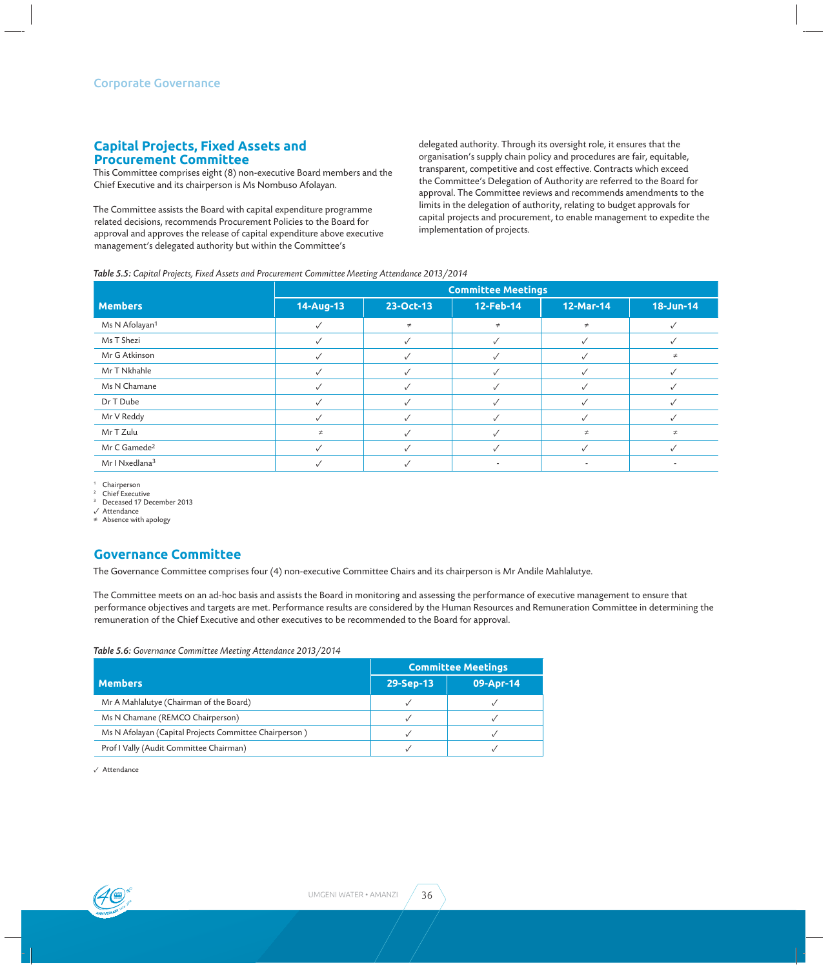## **Capital Projects, Fixed Assets and Procurement Committee**

This Committee comprises eight (8) non-executive Board members and the Chief Executive and its chairperson is Ms Nombuso Afolayan.

The Committee assists the Board with capital expenditure programme related decisions, recommends Procurement Policies to the Board for approval and approves the release of capital expenditure above executive management's delegated authority but within the Committee's

delegated authority. Through its oversight role, it ensures that the organisation's supply chain policy and procedures are fair, equitable, transparent, competitive and cost effective. Contracts which exceed the Committee's Delegation of Authority are referred to the Board for approval. The Committee reviews and recommends amendments to the limits in the delegation of authority, relating to budget approvals for capital projects and procurement, to enable management to expedite the implementation of projects.

#### *Table 5.5: Capital Projects, Fixed Assets and Procurement Committee Meeting Attendance 2013/2014*

|                            | <b>Committee Meetings</b> |           |           |           |           |  |
|----------------------------|---------------------------|-----------|-----------|-----------|-----------|--|
| <b>Members</b>             | 14-Aug-13                 | 23-Oct-13 | 12-Feb-14 | 12-Mar-14 | 18-Jun-14 |  |
| Ms N Afolayan <sup>1</sup> |                           | $\pm$     | $\neq$    | $\neq$    |           |  |
| Ms T Shezi                 |                           |           |           |           |           |  |
| Mr G Atkinson              |                           |           |           |           | $\neq$    |  |
| Mr T Nkhahle               |                           |           |           |           |           |  |
| Ms N Chamane               |                           |           |           |           |           |  |
| Dr T Dube                  |                           |           |           |           |           |  |
| Mr V Reddy                 |                           |           |           |           |           |  |
| Mr T Zulu                  | 士                         |           |           | ≠         | $\neq$    |  |
| Mr C Gamede <sup>2</sup>   |                           |           |           |           |           |  |
| Mr I Nxedlana <sup>3</sup> |                           |           | $\sim$    | $\sim$    | ٠         |  |

1 Chairperson

 $\overline{2}$  Chief Executive 3

Deceased 17 December 2013

**✓** Attendance

≠ Absence with apology

## **Governance Committee**

The Governance Committee comprises four (4) non-executive Committee Chairs and its chairperson is Mr Andile Mahlalutye.

The Committee meets on an ad-hoc basis and assists the Board in monitoring and assessing the performance of executive management to ensure that performance objectives and targets are met. Performance results are considered by the Human Resources and Remuneration Committee in determining the remuneration of the Chief Executive and other executives to be recommended to the Board for approval.

#### *Table 5.6: Governance Committee Meeting Attendance 2013/2014*

|                                                        | <b>Committee Meetings</b> |           |  |
|--------------------------------------------------------|---------------------------|-----------|--|
| <b>Members</b>                                         | 29-Sep-13                 | 09-Apr-14 |  |
| Mr A Mahlalutye (Chairman of the Board)                |                           |           |  |
| Ms N Chamane (REMCO Chairperson)                       |                           |           |  |
| Ms N Afolayan (Capital Projects Committee Chairperson) |                           |           |  |
| Prof I Vally (Audit Committee Chairman)                |                           |           |  |

**✓** Attendance

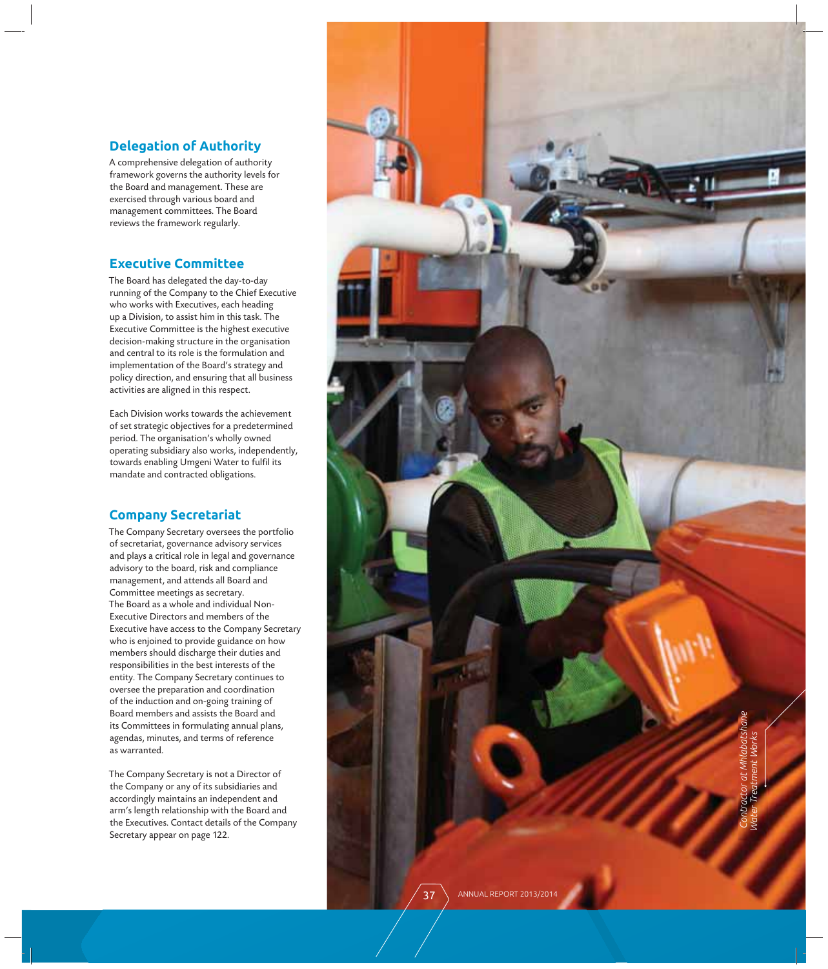## **Delegation of Authority**

A comprehensive delegation of authority framework governs the authority levels for the Board and management. These are exercised through various board and management committees. The Board reviews the framework regularly.

## **Executive Committee**

The Board has delegated the day-to-day running of the Company to the Chief Executive who works with Executives, each heading up a Division, to assist him in this task. The Executive Committee is the highest executive decision-making structure in the organisation and central to its role is the formulation and implementation of the Board's strategy and policy direction, and ensuring that all business activities are aligned in this respect.

Each Division works towards the achievement of set strategic objectives for a predetermined period. The organisation's wholly owned operating subsidiary also works, independently, towards enabling Umgeni Water to fulfil its mandate and contracted obligations.

## **Company Secretariat**

The Company Secretary oversees the portfolio of secretariat, governance advisory services and plays a critical role in legal and governance advisory to the board, risk and compliance management, and attends all Board and Committee meetings as secretary. The Board as a whole and individual Non-Executive Directors and members of the Executive have access to the Company Secretary who is enjoined to provide guidance on how members should discharge their duties and responsibilities in the best interests of the entity. The Company Secretary continues to oversee the preparation and coordination of the induction and on-going training of Board members and assists the Board and its Committees in formulating annual plans, agendas, minutes, and terms of reference as warranted.

The Company Secretary is not a Director of the Company or any of its subsidiaries and accordingly maintains an independent and arm's length relationship with the Board and the Executives. Contact details of the Company Secretary appear on page 122.

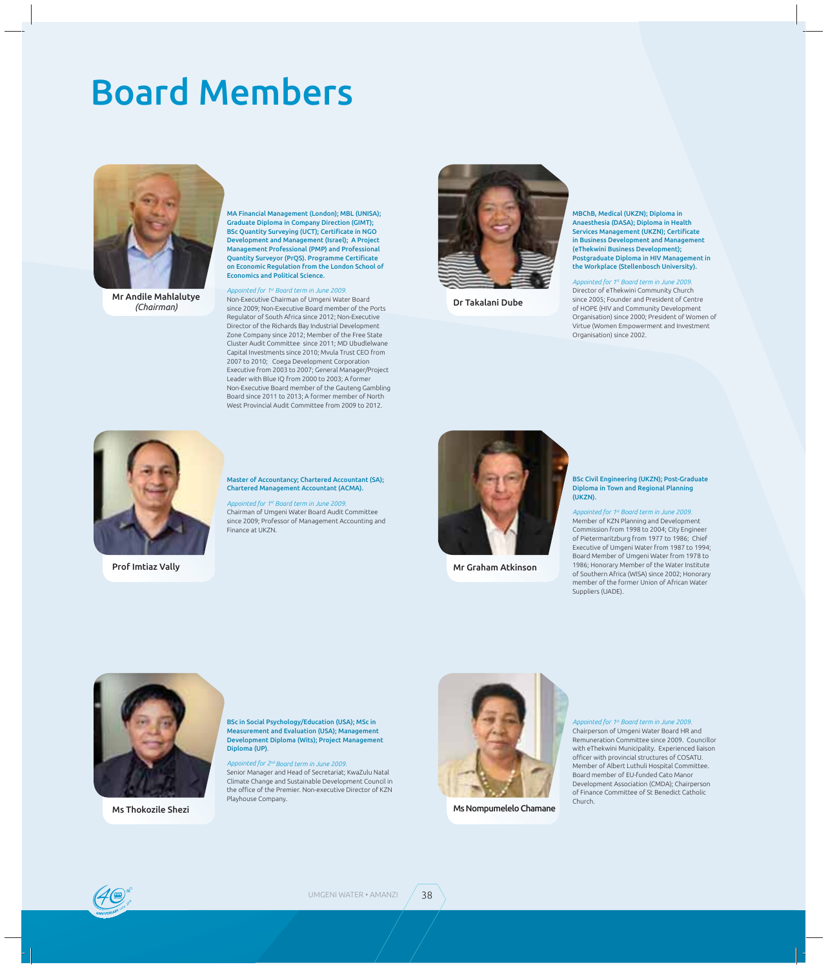## Board Members



Mr Andile Mahlalutye *(Chairman)*

MA Financial Management (London); MBL (UNISA); Graduate Diploma in Company Direction (GIMT); BSc Quantity Surveying (UCT); Certificate in NGO Development and Management (Israel); A Project Management Professional (PMP) and Professional Quantity Surveyor (PrQS). Programme Certificate on Economic Regulation from the London School of Economics and Political Science.

*Appointed for 1st Board term in June 2009.* Non-Executive Chairman of Umgeni Water Board since 2009; Non-Executive Board member of the Ports Regulator of South Africa since 2012; Non-Executive Director of the Richards Bay Industrial Development Zone Company since 2012; Member of the Free State Cluster Audit Committee since 2011; MD Ubudlelwane Capital Investments since 2010; Mvula Trust CEO from 2007 to 2010; Coega Development Corporation Executive from 2003 to 2007; General Manager/Project Leader with Blue IQ from 2000 to 2003; A former Non-Executive Board member of the Gauteng Gambling Board since 2011 to 2013; A former member of North West Provincial Audit Committee from 2009 to 2012.



Dr Takalani Dube

MBChB, Medical (UKZN); Diploma in Anaesthesia (DASA); Diploma in Health Services Management (UKZN); Certificate in Business Development and Management (eThekwini Business Development); Postgraduate Diploma in HIV Management in the Workplace (Stellenbosch University).

*Appointed for 1st Board term in June 2009.*

Director of eThekwini Community Church since 2005; Founder and President of Centre of HOPE (HIV and Community Development Organisation) since 2000; President of Women of Virtue (Women Empowerment and Investment Organisation) since 2002.



Prof Imtiaz Vally

#### Master of Accountancy; Chartered Accountant (SA); Chartered Management Accountant (ACMA).

*Appointed for 1st Board term in June 2009.* Chairman of Umgeni Water Board Audit Committee since 2009; Professor of Management Accounting and Finance at UKZN.



Mr Graham Atkinson

#### BSc Civil Engineering (UKZN); Post-Graduate Diploma in Town and Regional Planning (UKZN).

*Appointed for 1st Board term in June 2009.*

Member of KZN Planning and Development Commission from 1998 to 2004; City Engineer of Pietermaritzburg from 1977 to 1986; Chief Executive of Umgeni Water from 1987 to 1994; Board Member of Umgeni Water from 1978 to 1986; Honorary Member of the Water Institute of Southern Africa (WISA) since 2002; Honorary member of the former Union of African Water Suppliers (UADE).



Ms Thokozile Shezi

BSc in Social Psychology/Education (USA); MSc in Measurement and Evaluation (USA); Management Development Diploma (Wits); Project Management Diploma (UP).

*Appointed for 2nd Board term in June 2009.*  Senior Manager and Head of Secretariat; KwaZulu Natal Climate Change and Sustainable Development Council in the office of the Premier. Non-executive Director of KZN Playhouse Company.



Ms Nompumelelo Chamane

*Appointed for 1st Board term in June 2009.*

Chairperson of Umgeni Water Board HR and Remuneration Committee since 2009. Councillor with eThekwini Municipality. Experienced liaison officer with provincial structures of COSATU. Member of Albert Luthuli Hospital Committee. Board member of EU-funded Cato Manor Development Association (CMDA); Chairperson of Finance Committee of St Benedict Catholic Church.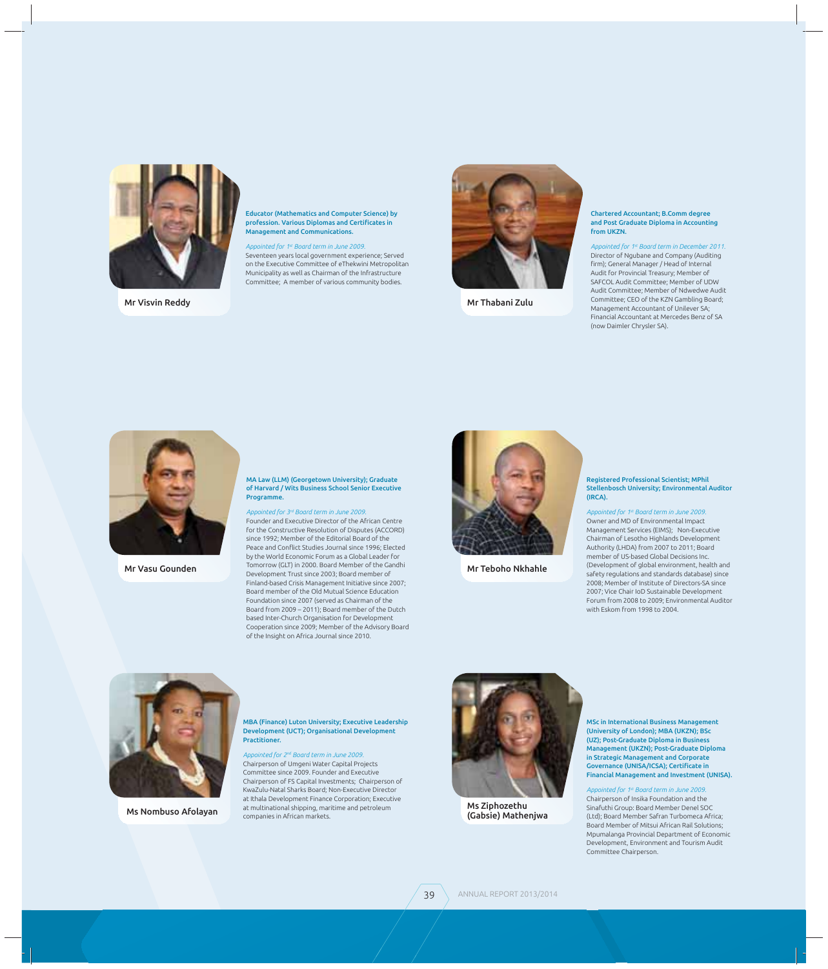

Mr Visvin Reddy

#### Educator (Mathematics and Computer Science) by profession. Various Diplomas and Certificates in Management and Communications.

*Appointed for 1st Board term in June 2009.* Seventeen years local government experience; Served on the Executive Committee of eThekwini Metropolitan Municipality as well as Chairman of the Infrastructure Committee; A member of various community bodies.



Mr Thabani Zulu

#### Chartered Accountant; B.Comm degree and Post Graduate Diploma in Accounting from UKZN.

*Appointed for 1st Board term in December 2011.* Director of Ngubane and Company (Auditing firm); General Manager / Head of Internal Audit for Provincial Treasury; Member of SAFCOL Audit Committee; Member of UDW Audit Committee; Member of Ndwedwe Audit Committee; CEO of the KZN Gambling Board; Management Accountant of Unilever SA; Financial Accountant at Mercedes Benz of SA (now Daimler Chrysler SA).



Mr Vasu Gounden

#### MA Law (LLM) (Georgetown University); Graduate of Harvard / Wits Business School Senior Executive Programme.

#### *Appointed for 3rd Board term in June 2009.*

Founder and Executive Director of the African Centre for the Constructive Resolution of Disputes (ACCORD) since 1992; Member of the Editorial Board of the Peace and Conflict Studies Journal since 1996; Elected by the World Economic Forum as a Global Leader for Tomorrow (GLT) in 2000. Board Member of the Gandhi Development Trust since 2003; Board member of Finland-based Crisis Management Initiative since 2007; Board member of the Old Mutual Science Education Foundation since 2007 (served as Chairman of the Board from 2009 – 2011); Board member of the Dutch based Inter-Church Organisation for Development Cooperation since 2009; Member of the Advisory Board of the Insight on Africa Journal since 2010.



Mr Teboho Nkhahle

#### Registered Professional Scientist; MPhil Stellenbosch University; Environmental Auditor (IRCA).

*Appointed for 1st Board term in June 2009.* Owner and MD of Environmental Impact Management Services (EIMS); Non-Executive Chairman of Lesotho Highlands Development Authority (LHDA) from 2007 to 2011; Board member of US-based Global Decisions Inc. (Development of global environment, health and safety regulations and standards database) since 2008; Member of Institute of Directors-SA since 2007; Vice Chair IoD Sustainable Development Forum from 2008 to 2009; Environmental Auditor with Eskom from 1998 to 2004.



Ms Nombuso Afolayan

MBA (Finance) Luton University; Executive Leadership Development (UCT); Organisational Development Practitioner.

*Appointed for 2nd Board term in June 2009.* Chairperson of Umgeni Water Capital Projects Committee since 2009. Founder and Executive Chairperson of FS Capital Investments; Chairperson of KwaZulu-Natal Sharks Board; Non-Executive Director at Ithala Development Finance Corporation; Executive at multinational shipping, maritime and petroleum companies in African markets.



Ms Ziphozethu (Gabsie) Mathenjwa

MSc in International Business Management (University of London); MBA (UKZN); BSc (UZ); Post-Graduate Diploma in Business Management (UKZN); Post-Graduate Diploma in Strategic Management and Corporate Governance (UNISA/ICSA); Certificate in Financial Management and Investment (UNISA).

*Appointed for 1st Board term in June 2009.* Chairperson of Insika Foundation and the Sinafuthi Group: Board Member Denel SOC (Ltd); Board Member Safran Turbomeca Africa; Board Member of Mitsui African Rail Solutions; Mpumalanga Provincial Department of Economic Development, Environment and Tourism Audit Committee Chairperson.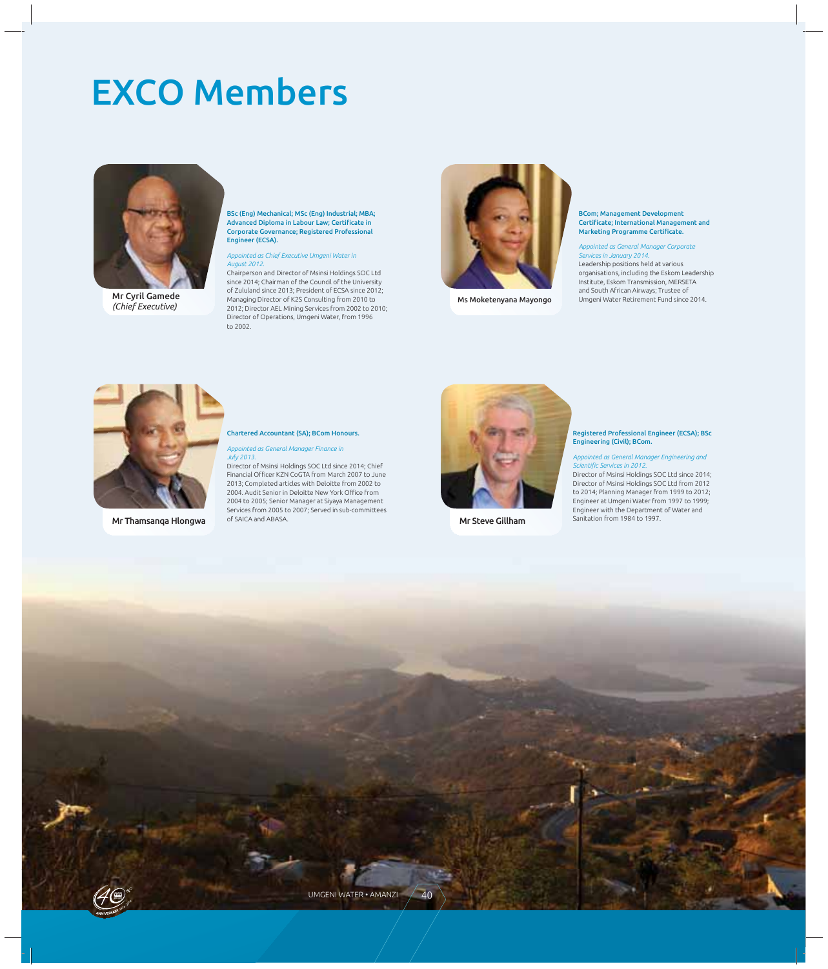## EXCO Members



Mr Cyril Gamede<br>(Chief Executive)

BSc (Eng) Mechanical; MSc (Eng) Industrial; MBA; Advanced Diploma in Labour Law; Certificate in Corporate Governance; Registered Professional Engineer (ECSA).

#### *Appointed as Chief Executive Umgeni Water in August 2012.*

Chairperson and Director of Msinsi Holdings SOC Ltd since 2014; Chairman of the Council of the University of Zululand since 2013; President of ECSA since 2012; Managing Director of K2S Consulting from 2010 to **2012; Director Accomptance Managing Director of K2S Consulting from 2010 to 2010; Ms Moketenyana Mayongo (Chief Executive) and 2012; Director AEL Mining Services from 2002 to 2010; and the Mayongo Chief Executive) and the** Director of Operations, Umgeni Water, from 1996 to 2002.



#### BCom; Management Development Certificate; International Management and Marketing Programme Certificate.

*Appointed as General Manager Corporate Services in January 2014.* Leadership positions held at various organisations, including the Eskom Leadership Institute, Eskom Transmission, MERSETA and South African Airways; Trustee of Umgeni Water Retirement Fund since 2014.



Mr Thamsanga Hlongwa of SAICA and ABASA.

#### Chartered Accountant (SA); BCom Honours.

*Appointed as General Manager Finance in July 2013.* 

Director of Msinsi Holdings SOC Ltd since 2014; Chief Financial Officer KZN CoGTA from March 2007 to June 2013; Completed articles with Deloitte from 2002 to 2004. Audit Senior in Deloitte New York Office from 2004 to 2005; Senior Manager at Siyaya Management Services from 2005 to 2007; Served in sub-committees



#### Registered Professional Engineer (ECSA); BSc Engineering (Civil); BCom.

*Appointed as General Manager Engineering and ScientiƬ c Services in 2012.*

Director of Msinsi Holdings SOC Ltd since 2014; Director of Msinsi Holdings SOC Ltd from 2012 to 2014; Planning Manager from 1999 to 2012; Engineer at Umgeni Water from 1997 to 1999; Engineer with the Department of Water and Mr Steve Gillham Sanitation from 1984 to 1997.